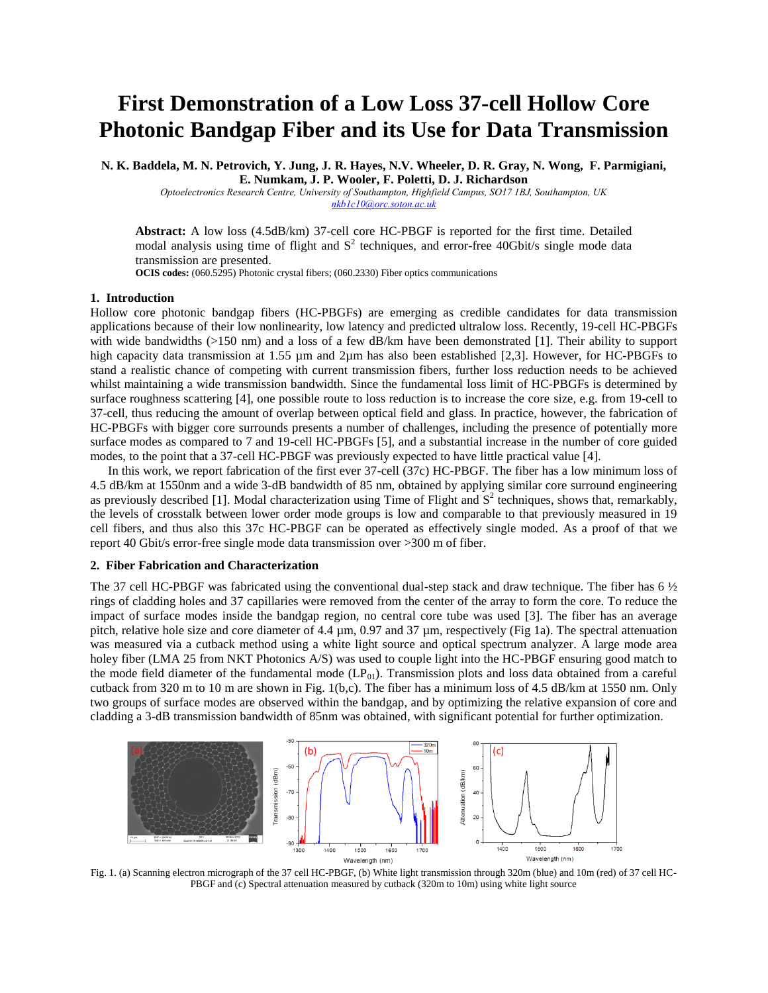## **First Demonstration of a Low Loss 37-cell Hollow Core Photonic Bandgap Fiber and its Use for Data Transmission**

**N. K. Baddela, M. N. Petrovich, Y. Jung, J. R. Hayes, N.V. Wheeler, D. R. Gray, N. Wong, F. Parmigiani, E. Numkam, J. P. Wooler, F. Poletti, D. J. Richardson**

*Optoelectronics Research Centre, University of Southampton, Highfield Campus, SO17 1BJ, Southampton, UK [nkb1c10@orc.soton.ac.uk](mailto:nkb1c10@orc.soton.ac.uk)*

**Abstract:** A low loss (4.5dB/km) 37-cell core HC-PBGF is reported for the first time. Detailed modal analysis using time of flight and  $S<sup>2</sup>$  techniques, and error-free 40Gbit/s single mode data transmission are presented.

**OCIS codes:** (060.5295) Photonic crystal fibers; (060.2330) Fiber optics communications

## **1. Introduction**

Hollow core photonic bandgap fibers (HC-PBGFs) are emerging as credible candidates for data transmission applications because of their low nonlinearity, low latency and predicted ultralow loss. Recently, 19-cell HC-PBGFs with wide bandwidths (>150 nm) and a loss of a few dB/km have been demonstrated [1]. Their ability to support high capacity data transmission at 1.55  $\mu$ m and 2 $\mu$ m has also been established [2,3]. However, for HC-PBGFs to stand a realistic chance of competing with current transmission fibers, further loss reduction needs to be achieved whilst maintaining a wide transmission bandwidth. Since the fundamental loss limit of HC-PBGFs is determined by surface roughness scattering [4], one possible route to loss reduction is to increase the core size, e.g. from 19-cell to 37-cell, thus reducing the amount of overlap between optical field and glass. In practice, however, the fabrication of HC-PBGFs with bigger core surrounds presents a number of challenges, including the presence of potentially more surface modes as compared to 7 and 19-cell HC-PBGFs [5], and a substantial increase in the number of core guided modes, to the point that a 37-cell HC-PBGF was previously expected to have little practical value [4].

In this work, we report fabrication of the first ever 37-cell (37c) HC-PBGF. The fiber has a low minimum loss of 4.5 dB/km at 1550nm and a wide 3-dB bandwidth of 85 nm, obtained by applying similar core surround engineering as previously described [1]. Modal characterization using Time of Flight and  $S<sup>2</sup>$  techniques, shows that, remarkably, the levels of crosstalk between lower order mode groups is low and comparable to that previously measured in 19 cell fibers, and thus also this 37c HC-PBGF can be operated as effectively single moded. As a proof of that we report 40 Gbit/s error-free single mode data transmission over >300 m of fiber.

## **2. Fiber Fabrication and Characterization**

The 37 cell HC-PBGF was fabricated using the conventional dual-step stack and draw technique. The fiber has 6  $\frac{1}{2}$ rings of cladding holes and 37 capillaries were removed from the center of the array to form the core. To reduce the impact of surface modes inside the bandgap region, no central core tube was used [3]. The fiber has an average pitch, relative hole size and core diameter of 4.4 µm, 0.97 and 37 µm, respectively (Fig 1a). The spectral attenuation was measured via a cutback method using a white light source and optical spectrum analyzer. A large mode area holey fiber (LMA 25 from NKT Photonics A/S) was used to couple light into the HC-PBGF ensuring good match to the mode field diameter of the fundamental mode  $(LP<sub>01</sub>)$ . Transmission plots and loss data obtained from a careful cutback from 320 m to 10 m are shown in Fig. 1(b,c). The fiber has a minimum loss of 4.5 dB/km at 1550 nm. Only two groups of surface modes are observed within the bandgap, and by optimizing the relative expansion of core and cladding a 3-dB transmission bandwidth of 85nm was obtained, with significant potential for further optimization.



Fig. 1. (a) Scanning electron micrograph of the 37 cell HC-PBGF, (b) White light transmission through 320m (blue) and 10m (red) of 37 cell HC-PBGF and (c) Spectral attenuation measured by cutback (320m to 10m) using white light source